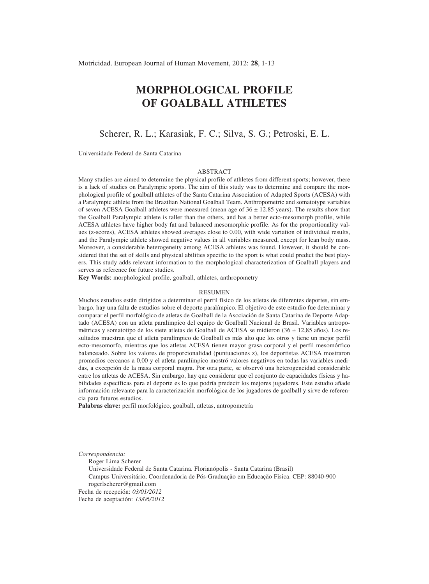# **MORPHOLOGICAL PROFILE OF GOALBALL ATHLETES**

Scherer, R. L.; Karasiak, F. C.; Silva, S. G.; Petroski, E. L.

Universidade Federal de Santa Catarina

#### ABSTRACT

Many studies are aimed to determine the physical profile of athletes from different sports; however, there is a lack of studies on Paralympic sports. The aim of this study was to determine and compare the morphological profile of goalball athletes of the Santa Catarina Association of Adapted Sports (ACESA) with a Paralympic athlete from the Brazilian National Goalball Team. Anthropometric and somatotype variables of seven ACESA Goalball athletes were measured (mean age of  $36 \pm 12.85$  years). The results show that the Goalball Paralympic athlete is taller than the others, and has a better ecto-mesomorph profile, while ACESA athletes have higher body fat and balanced mesomorphic profile. As for the proportionality values (z-scores), ACESA athletes showed averages close to 0.00, with wide variation of individual results, and the Paralympic athlete showed negative values in all variables measured, except for lean body mass. Moreover, a considerable heterogeneity among ACESA athletes was found. However, it should be considered that the set of skills and physical abilities specific to the sport is what could predict the best players. This study adds relevant information to the morphological characterization of Goalball players and serves as reference for future studies.

**Key Words**: morphological profile, goalball, athletes, anthropometry

#### **RESUMEN**

Muchos estudios están dirigidos a determinar el perfil físico de los atletas de diferentes deportes, sin embargo, hay una falta de estudios sobre el deporte paralímpico. El objetivo de este estudio fue determinar y comparar el perfil morfológico de atletas de Goalball de la Asociación de Santa Catarina de Deporte Adaptado (ACESA) con un atleta paralímpico del equipo de Goalball Nacional de Brasil. Variables antropométricas y somatotipo de los siete atletas de Goalball de ACESA se midieron (36 ± 12,85 años). Los resultados muestran que el atleta paralímpico de Goalball es más alto que los otros y tiene un mejor perfil ecto-mesomorfo, mientras que los atletas ACESA tienen mayor grasa corporal y el perfil mesomórfico balanceado. Sobre los valores de proporcionalidad (puntuaciones z), los deportistas ACESA mostraron promedios cercanos a 0,00 y el atleta paralímpico mostró valores negativos en todas las variables medidas, a excepción de la masa corporal magra. Por otra parte, se observó una heterogeneidad considerable entre los atletas de ACESA. Sin embargo, hay que considerar que el conjunto de capacidades físicas y habilidades específicas para el deporte es lo que podría predecir los mejores jugadores. Este estudio añade información relevante para la caracterización morfológica de los jugadores de goalball y sirve de referencia para futuros estudios.

**Palabras clave:** perfil morfológico, goalball, atletas, antropometría

*Correspondencia:*

Roger Lima Scherer

Universidade Federal de Santa Catarina. Florianópolis - Santa Catarina (Brasil)

Campus Universitário, Coordenadoria de Pós-Graduação em Educação Física. CEP: 88040-900 rogerlscherer@gmail.com

Fecha de recepción: *03/01/2012*

Fecha de aceptación: *13/06/2012*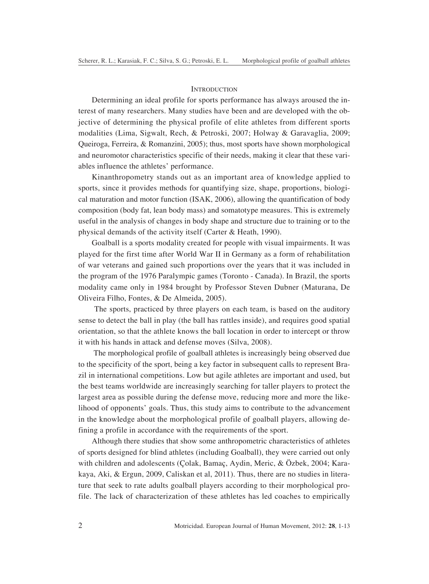# **INTRODUCTION**

Determining an ideal profile for sports performance has always aroused the interest of many researchers. Many studies have been and are developed with the objective of determining the physical profile of elite athletes from different sports modalities (Lima, Sigwalt, Rech, & Petroski, 2007; Holway & Garavaglia, 2009; Queiroga, Ferreira, & Romanzini, 2005); thus, most sports have shown morphological and neuromotor characteristics specific of their needs, making it clear that these variables influence the athletes' performance.

Kinanthropometry stands out as an important area of knowledge applied to sports, since it provides methods for quantifying size, shape, proportions, biological maturation and motor function (ISAK, 2006), allowing the quantification of body composition (body fat, lean body mass) and somatotype measures. This is extremely useful in the analysis of changes in body shape and structure due to training or to the physical demands of the activity itself (Carter & Heath, 1990).

Goalball is a sports modality created for people with visual impairments. It was played for the first time after World War II in Germany as a form of rehabilitation of war veterans and gained such proportions over the years that it was included in the program of the 1976 Paralympic games (Toronto - Canada). In Brazil, the sports modality came only in 1984 brought by Professor Steven Dubner (Maturana, De Oliveira Filho, Fontes, & De Almeida, 2005).

 The sports, practiced by three players on each team, is based on the auditory sense to detect the ball in play (the ball has rattles inside), and requires good spatial orientation, so that the athlete knows the ball location in order to intercept or throw it with his hands in attack and defense moves (Silva, 2008).

 The morphological profile of goalball athletes is increasingly being observed due to the specificity of the sport, being a key factor in subsequent calls to represent Brazil in international competitions. Low but agile athletes are important and used, but the best teams worldwide are increasingly searching for taller players to protect the largest area as possible during the defense move, reducing more and more the likelihood of opponents' goals. Thus, this study aims to contribute to the advancement in the knowledge about the morphological profile of goalball players, allowing defining a profile in accordance with the requirements of the sport.

Although there studies that show some anthropometric characteristics of athletes of sports designed for blind athletes (including Goalball), they were carried out only with children and adolescents (Çolak, Bamaç, Aydin, Meric, & Özbek, 2004; Karakaya, Aki, & Ergun, 2009, Caliskan et al, 2011). Thus, there are no studies in literature that seek to rate adults goalball players according to their morphological profile. The lack of characterization of these athletes has led coaches to empirically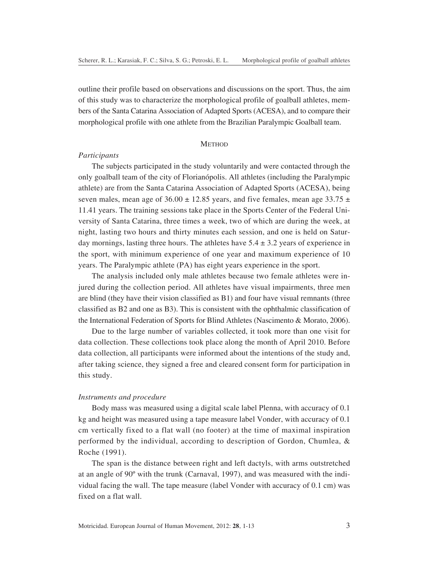outline their profile based on observations and discussions on the sport. Thus, the aim of this study was to characterize the morphological profile of goalball athletes, members of the Santa Catarina Association of Adapted Sports (ACESA), and to compare their morphological profile with one athlete from the Brazilian Paralympic Goalball team.

# **METHOD**

#### *Participants*

The subjects participated in the study voluntarily and were contacted through the only goalball team of the city of Florianópolis. All athletes (including the Paralympic athlete) are from the Santa Catarina Association of Adapted Sports (ACESA), being seven males, mean age of  $36.00 \pm 12.85$  years, and five females, mean age  $33.75 \pm 12.85$ 11.41 years. The training sessions take place in the Sports Center of the Federal University of Santa Catarina, three times a week, two of which are during the week, at night, lasting two hours and thirty minutes each session, and one is held on Saturday mornings, lasting three hours. The athletes have  $5.4 \pm 3.2$  years of experience in the sport, with minimum experience of one year and maximum experience of 10 years. The Paralympic athlete (PA) has eight years experience in the sport.

The analysis included only male athletes because two female athletes were injured during the collection period. All athletes have visual impairments, three men are blind (they have their vision classified as B1) and four have visual remnants (three classified as B2 and one as B3). This is consistent with the ophthalmic classification of the International Federation of Sports for Blind Athletes (Nascimento & Morato, 2006).

Due to the large number of variables collected, it took more than one visit for data collection. These collections took place along the month of April 2010. Before data collection, all participants were informed about the intentions of the study and, after taking science, they signed a free and cleared consent form for participation in this study.

# *Instruments and procedure*

Body mass was measured using a digital scale label Plenna, with accuracy of 0.1 kg and height was measured using a tape measure label Vonder, with accuracy of 0.1 cm vertically fixed to a flat wall (no footer) at the time of maximal inspiration performed by the individual, according to description of Gordon, Chumlea, & Roche (1991).

The span is the distance between right and left dactyls, with arms outstretched at an angle of 90º with the trunk (Carnaval, 1997), and was measured with the individual facing the wall. The tape measure (label Vonder with accuracy of 0.1 cm) was fixed on a flat wall.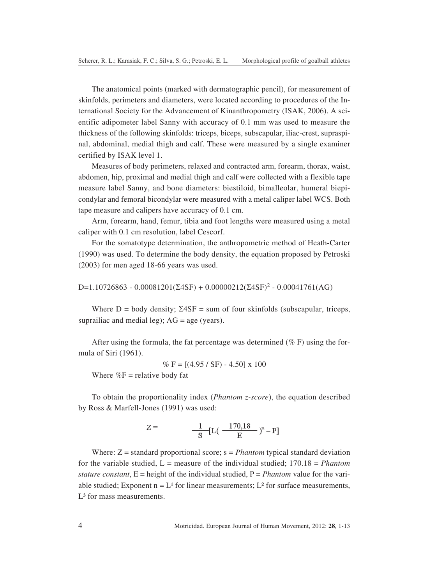The anatomical points (marked with dermatographic pencil), for measurement of skinfolds, perimeters and diameters, were located according to procedures of the International Society for the Advancement of Kinanthropometry (ISAK, 2006). A scientific adipometer label Sanny with accuracy of 0.1 mm was used to measure the thickness of the following skinfolds: triceps, biceps, subscapular, iliac-crest, supraspinal, abdominal, medial thigh and calf. These were measured by a single examiner certified by ISAK level 1.

Measures of body perimeters, relaxed and contracted arm, forearm, thorax, waist, abdomen, hip, proximal and medial thigh and calf were collected with a flexible tape measure label Sanny, and bone diameters: biestiloid, bimalleolar, humeral biepicondylar and femoral bicondylar were measured with a metal caliper label WCS. Both tape measure and calipers have accuracy of 0.1 cm.

Arm, forearm, hand, femur, tibia and foot lengths were measured using a metal caliper with 0.1 cm resolution, label Cescorf.

For the somatotype determination, the anthropometric method of Heath-Carter (1990) was used. To determine the body density, the equation proposed by Petroski (2003) for men aged 18-66 years was used.

D=1.10726863 - 0.00081201(Σ4SF) + 0.00000212(Σ4SF)<sup>2</sup> - 0.00041761(AG)

Where  $D = body$  density;  $\Sigma 4SF = sum$  of four skinfolds (subscapular, triceps, suprailiac and medial leg);  $AG = age$  (years).

After using the formula, the fat percentage was determined ( $\%$  F) using the formula of Siri (1961).

$$
\% F = [(4.95 / SF) - 4.50] \times 100
$$

Where  $\%$  F = relative body fat

To obtain the proportionality index (*Phantom z-score*), the equation described by Ross & Marfell-Jones (1991) was used:

$$
Z = \frac{1}{S} [L \left( \frac{-170,18}{E} \right)^n - P]
$$

Where: Z = standard proportional score; s = *Phantom* typical standard deviation for the variable studied, L = measure of the individual studied; 170.18 = *Phantom stature constant*,  $E =$  height of the individual studied,  $P =$  *Phantom* value for the variable studied; Exponent  $n = L<sup>1</sup>$  for linear measurements; L<sup>2</sup> for surface measurements, L<sup>3</sup> for mass measurements.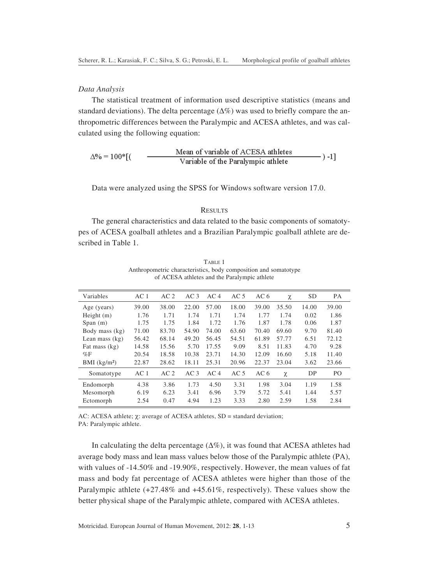# *Data Analysis*

The statistical treatment of information used descriptive statistics (means and standard deviations). The delta percentage  $(\Delta\%)$  was used to briefly compare the anthropometric differences between the Paralympic and ACESA athletes, and was calculated using the following equation:

$$
\Delta\% = 100^* [(\qquad \qquad \frac{\text{Mean of variable of ACESA} \text{athletes}}{\text{Variable of the Paralympic} \text{athlete}}) -1]
$$

Data were analyzed using the SPSS for Windows software version 17.0.

## **RESULTS**

The general characteristics and data related to the basic components of somatotypes of ACESA goalball athletes and a Brazilian Paralympic goalball athlete are described in Table 1.

| AC <sub>1</sub> | AC <sub>2</sub> | AC <sub>3</sub> | AC <sub>4</sub> | AC <sub>5</sub> | AC <sub>6</sub> | χ     | <b>SD</b> | <b>PA</b>      |
|-----------------|-----------------|-----------------|-----------------|-----------------|-----------------|-------|-----------|----------------|
| 39.00           | 38.00           | 22.00           | 57.00           | 18.00           | 39.00           | 35.50 | 14.00     | 39.00          |
| 1.76            | 1.71            | 1.74            | 1.71            | 1.74            | 1.77            | 1.74  | 0.02      | 1.86           |
| 1.75            | 1.75            | 1.84            | 1.72            | 1.76            | 1.87            | 1.78  | 0.06      | 1.87           |
| 71.00           | 83.70           | 54.90           | 74.00           | 63.60           | 70.40           | 69.60 | 9.70      | 81.40          |
| 56.42           | 68.14           | 49.20           | 56.45           | 54.51           | 61.89           | 57.77 | 6.51      | 72.12          |
| 14.58           | 15.56           | 5.70            | 17.55           | 9.09            | 8.51            | 11.83 | 4.70      | 9.28           |
| 20.54           | 18.58           | 10.38           | 23.71           | 14.30           | 12.09           | 16.60 | 5.18      | 11.40          |
| 22.87           | 28.62           | 18.11           | 25.31           | 20.96           | 22.37           | 23.04 | 3.62      | 23.66          |
| AC <sub>1</sub> | AC <sub>2</sub> | AC <sub>3</sub> | AC <sub>4</sub> | AC <sub>5</sub> | AC <sub>6</sub> | χ     | DP        | P <sub>O</sub> |
| 4.38            | 3.86            | 1.73            | 4.50            | 3.31            | 1.98            | 3.04  | 1.19      | 1.58           |
| 6.19            | 6.23            | 3.41            | 6.96            | 3.79            | 5.72            | 5.41  | 1.44      | 5.57           |
| 2.54            | 0.47            | 4.94            | 1.23            | 3.33            | 2.80            | 2.59  | 1.58      | 2.84           |
|                 |                 |                 |                 |                 |                 |       |           |                |

TABLE 1 Anthropometric characteristics, body composition and somatotype of ACESA athletes and the Paralympic athlete

AC: ACESA athlete; *χ*: average of ACESA athletes, SD = standard deviation; PA: Paralympic athlete.

In calculating the delta percentage  $(\Delta\%)$ , it was found that ACESA athletes had average body mass and lean mass values below those of the Paralympic athlete (PA), with values of -14.50% and -19.90%, respectively. However, the mean values of fat mass and body fat percentage of ACESA athletes were higher than those of the Paralympic athlete (+27.48% and +45.61%, respectively). These values show the better physical shape of the Paralympic athlete, compared with ACESA athletes.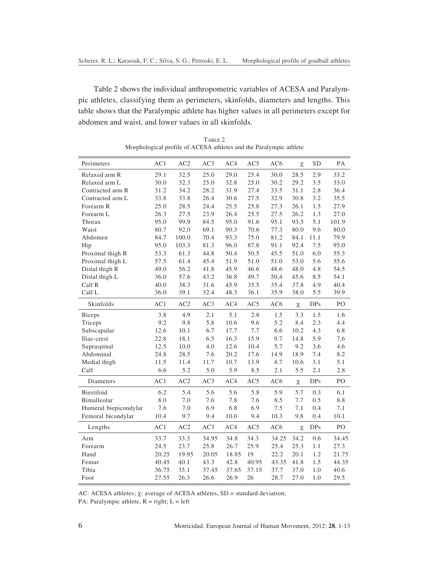Table 2 shows the individual anthropometric variables of ACESA and Paralympic athletes, classifying them as perimeters, skinfolds, diameters and lengths. This table shows that the Paralympic athlete has higher values in all perimeters except for abdomen and waist, and lower values in all skinfolds.

| Perimeters            | AC1   | AC2   | AC3   | AC4   | AC5   | AC <sub>6</sub> | χ      | SD         | PА    |
|-----------------------|-------|-------|-------|-------|-------|-----------------|--------|------------|-------|
| Relaxed arm R         | 29.1  | 32.5  | 25.0  | 29.0  | 25.4  | 30.0            | 28.5   | 2.9        | 33.2  |
| Relaxed arm L         | 30.0  | 32.3  | 25.0  | 32.8  | 25.0  | 30.2            | 29.2   | 3.5        | 33.0  |
| Contracted arm R      | 31.2  | 34.2  | 28.2  | 31.9  | 27.4  | 33.5            | 31.1   | 2.8        | 36.4  |
| Contracted arm L      | 33.8  | 33.8  | 26.4  | 30.6  | 27.5  | 32.9            | 30.8   | 3.2        | 35.5  |
| Forearm R             | 25.0  | 28.5  | 24.4  | 25.5  | 25.8  | 27.3            | 26.1   | 1.5        | 27.9  |
| Forearm L             | 26.3  | 27.5  | 23.9  | 26.4  | 25.5  | 27.5            | 26.2   | 1.3        | 27.0  |
| Thorax                | 95.0  | 99.9  | 84.5  | 95.0  | 91.6  | 95.1            | 93.5   | 5.1        | 101.9 |
| Waist                 | 80.7  | 92.0  | 69.1  | 90.3  | 70.6  | 77.3            | 80.0   | 9.6        | 80.0  |
| Abdomen               | 84.7  | 100.0 | 70.4  | 93.3  | 75.0  | 81.2            | 84.1   | 11.1       | 79.9  |
| Hip                   | 95.0  | 103.3 | 81.3  | 96.0  | 87.8  | 91.1            | 92.4   | 7.5        | 95.0  |
| Proximal thigh R      | 53.3  | 61.3  | 44.8  | 50.4  | 50.5  | 45.5            | 51.0   | 6.0        | 55.3  |
| Proximal thigh L      | 57.5  | 61.4  | 45.4  | 51.9  | 51.0  | 51.0            | 53.0   | 5.6        | 55.6  |
| Distal thigh R        | 49.0  | 56.2  | 41.8  | 45.9  | 46.6  | 48.6            | 48.0   | 4.8        | 54.5  |
| Distal thigh L        | 36.0  | 57.6  | 43.2  | 36.8  | 49.7  | 50.4            | 45.6   | 8.5        | 54.1  |
| Calf R                | 40.0  | 38.3  | 31.6  | 45.9  | 35.5  | 35.4            | 37.8   | 4.9        | 40.4  |
| Calf L                | 36.0  | 39.1  | 32.4  | 48.3  | 36.1  | 35.9            | 38.0   | 5.5        | 39.9  |
| Skinfolds             | AC1   | AC2   | AC3   | AC4   | AC5   | AC <sub>6</sub> | χ      | <b>DPs</b> | PO    |
| <b>Biceps</b>         | 3.8   | 4.9   | 2.1   | 5.1   | 2.8   | 1.5             | 3.3    | 1.5        | 1.6   |
| Triceps               | 9.2   | 9.8   | 5.8   | 10.6  | 9.6   | 5.2             | 8.4    | 2.3        | 4.4   |
| Subscapular           | 12.6  | 10.1  | 6.7   | 17.7  | 7.7   | 6.6             | 10.2   | 4.3        | 6.8   |
| Iliac-crest           | 22.8  | 18.1  | 6.5   | 16.3  | 15.9  | 9.7             | 14.8   | 5.9        | 7.6   |
| Supraspinal           | 12.5  | 10.0  | 4.0   | 12.6  | 10.4  | 5.7             | 9.2    | 3.6        | 4.6   |
| Abdominal             | 24.8  | 28.5  | 7.6   | 20.2  | 17.6  | 14.9            | 18.9   | 7.4        | 8.2   |
| Medial thigh          | 11.5  | 11.4  | 11.7  | 10.7  | 13.9  | 4.7             | 10.6   | 3.1        | 5.1   |
| Calf                  | 6.6   | 5.2   | 5.0   | 5.9   | 8.5   | 2.1             | 5.5    | 2.1        | 2.8   |
| Diameters             | AC1   | AC2   | AC3   | AC4   | AC5   | AC <sub>6</sub> | $\chi$ | <b>DPs</b> | PO    |
| Biestiloid            | 6.2   | 5.4   | 5.6   | 5.6   | 5.8   | 5.9             | 5.7    | 0.3        | 6.1   |
| Bimalleolar           | 8.0   | 7.0   | 7.6   | 7.8   | 7.6   | 8.5             | 7.7    | 0.5        | 8.8   |
| Humeral biepicondylar | 7.6   | 7.0   | 6.9   | 6.8   | 6.9   | 7.5             | 7.1    | 0.4        | 7.1   |
| Femoral bicondylar    | 10.4  | 9.7   | 9.4   | 10.0  | 9.4   | 10.3            | 9.8    | 0.4        | 10.1  |
| Lengths               | AC1   | AC2   | AC3   | AC4   | AC5   | AC6             | $\chi$ | <b>DPs</b> | PO    |
| Arm                   | 33.7  | 33.3  | 34.95 | 34.8  | 34.3  | 34.25           | 34.2   | 0.6        | 34.45 |
| Forearm               | 24.5  | 23.7  | 25.8  | 26.7  | 25.9  | 25.4            | 25.3   | 1.1        | 27.3  |
| Hand                  | 20.25 | 19.95 | 20.05 | 18.85 | 19    | 22.2            | 20.1   | 1.2        | 21.75 |
| Femur                 | 40.45 | 40.1  | 43.3  | 42.8  | 40.95 | 43.35           | 41.8   | 1.5        | 44.35 |
| Tibia                 | 36.75 | 35.1  | 37.45 | 37.65 | 37.15 | 37.7            | 37.0   | 1.0        | 40.6  |
| Foot                  | 27.55 | 26.3  | 26.6  | 26.9  | 26    | 28.7            | 27.0   | 1.0        | 29.5  |
|                       |       |       |       |       |       |                 |        |            |       |

TABLE 2 Morphological profile of ACESA athletes and the Paralympic athlete

AC: ACESA athletes; χ: average of ACESA athletes, SD = standard deviation;

PA: Paralympic athlete,  $R = right$ ;  $L = left$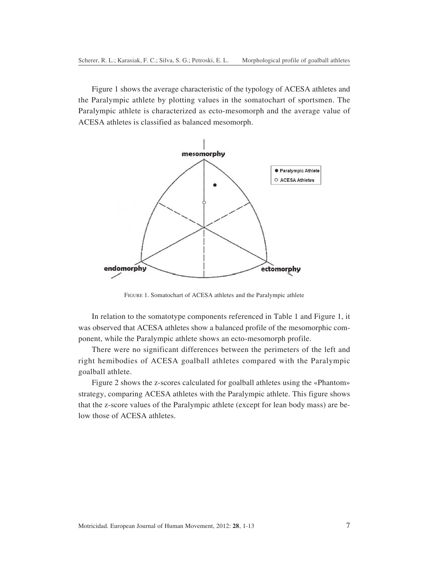Figure 1 shows the average characteristic of the typology of ACESA athletes and the Paralympic athlete by plotting values in the somatochart of sportsmen. The Paralympic athlete is characterized as ecto-mesomorph and the average value of ACESA athletes is classified as balanced mesomorph.



FIGURE 1. Somatochart of ACESA athletes and the Paralympic athlete

In relation to the somatotype components referenced in Table 1 and Figure 1, it was observed that ACESA athletes show a balanced profile of the mesomorphic component, while the Paralympic athlete shows an ecto-mesomorph profile.

There were no significant differences between the perimeters of the left and right hemibodies of ACESA goalball athletes compared with the Paralympic goalball athlete.

Figure 2 shows the z-scores calculated for goalball athletes using the «Phantom» strategy, comparing ACESA athletes with the Paralympic athlete. This figure shows that the z-score values of the Paralympic athlete (except for lean body mass) are below those of ACESA athletes.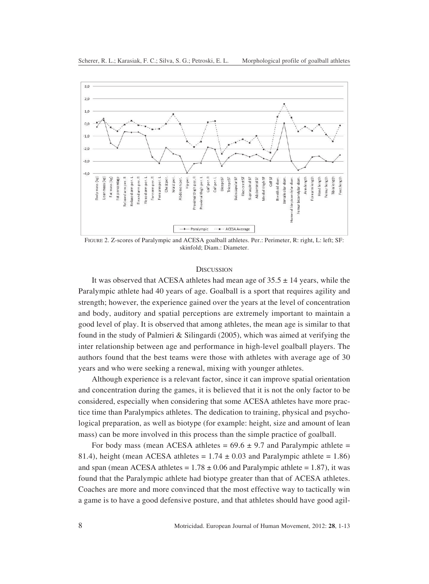

FIGURE 2. Z-scores of Paralympic and ACESA goalball athletes. Per.: Perimeter, R: right, L: left; SF: skinfold; Diam.: Diameter.

### **DISCUSSION**

It was observed that ACESA athletes had mean age of  $35.5 \pm 14$  years, while the Paralympic athlete had 40 years of age. Goalball is a sport that requires agility and strength; however, the experience gained over the years at the level of concentration and body, auditory and spatial perceptions are extremely important to maintain a good level of play. It is observed that among athletes, the mean age is similar to that found in the study of Palmieri & Silingardi (2005), which was aimed at verifying the inter relationship between age and performance in high-level goalball players. The authors found that the best teams were those with athletes with average age of 30 years and who were seeking a renewal, mixing with younger athletes.

Although experience is a relevant factor, since it can improve spatial orientation and concentration during the games, it is believed that it is not the only factor to be considered, especially when considering that some ACESA athletes have more practice time than Paralympics athletes. The dedication to training, physical and psychological preparation, as well as biotype (for example: height, size and amount of lean mass) can be more involved in this process than the simple practice of goalball.

For body mass (mean ACESA athletes =  $69.6 \pm 9.7$  and Paralympic athlete = 81.4), height (mean ACESA athletes =  $1.74 \pm 0.03$  and Paralympic athlete = 1.86) and span (mean ACESA athletes =  $1.78 \pm 0.06$  and Paralympic athlete = 1.87), it was found that the Paralympic athlete had biotype greater than that of ACESA athletes. Coaches are more and more convinced that the most effective way to tactically win a game is to have a good defensive posture, and that athletes should have good agil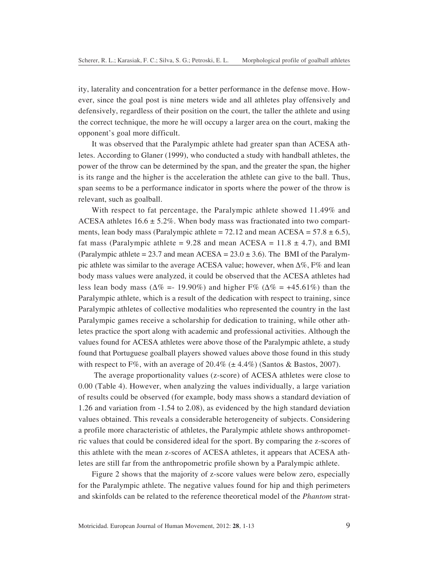ity, laterality and concentration for a better performance in the defense move. However, since the goal post is nine meters wide and all athletes play offensively and defensively, regardless of their position on the court, the taller the athlete and using the correct technique, the more he will occupy a larger area on the court, making the opponent's goal more difficult.

It was observed that the Paralympic athlete had greater span than ACESA athletes. According to Glaner (1999), who conducted a study with handball athletes, the power of the throw can be determined by the span, and the greater the span, the higher is its range and the higher is the acceleration the athlete can give to the ball. Thus, span seems to be a performance indicator in sports where the power of the throw is relevant, such as goalball.

With respect to fat percentage, the Paralympic athlete showed 11.49% and ACESA athletes  $16.6 \pm 5.2\%$ . When body mass was fractionated into two compartments, lean body mass (Paralympic athlete =  $72.12$  and mean ACESA =  $57.8 \pm 6.5$ ), fat mass (Paralympic athlete =  $9.28$  and mean ACESA =  $11.8 \pm 4.7$ ), and BMI (Paralympic athlete = 23.7 and mean ACESA = 23.0  $\pm$  3.6). The BMI of the Paralympic athlete was similar to the average ACESA value; however, when ∆%, F% and lean body mass values were analyzed, it could be observed that the ACESA athletes had less lean body mass ( $\Delta\%$  =- 19.90%) and higher F% ( $\Delta\%$  = +45.61%) than the Paralympic athlete, which is a result of the dedication with respect to training, since Paralympic athletes of collective modalities who represented the country in the last Paralympic games receive a scholarship for dedication to training, while other athletes practice the sport along with academic and professional activities. Although the values found for ACESA athletes were above those of the Paralympic athlete, a study found that Portuguese goalball players showed values above those found in this study with respect to F%, with an average of  $20.4\%$  ( $\pm 4.4\%$ ) (Santos & Bastos, 2007).

 The average proportionality values (z-score) of ACESA athletes were close to 0.00 (Table 4). However, when analyzing the values individually, a large variation of results could be observed (for example, body mass shows a standard deviation of 1.26 and variation from -1.54 to 2.08), as evidenced by the high standard deviation values obtained. This reveals a considerable heterogeneity of subjects. Considering a profile more characteristic of athletes, the Paralympic athlete shows anthropometric values that could be considered ideal for the sport. By comparing the z-scores of this athlete with the mean z-scores of ACESA athletes, it appears that ACESA athletes are still far from the anthropometric profile shown by a Paralympic athlete.

Figure 2 shows that the majority of z-score values were below zero, especially for the Paralympic athlete. The negative values found for hip and thigh perimeters and skinfolds can be related to the reference theoretical model of the *Phantom* strat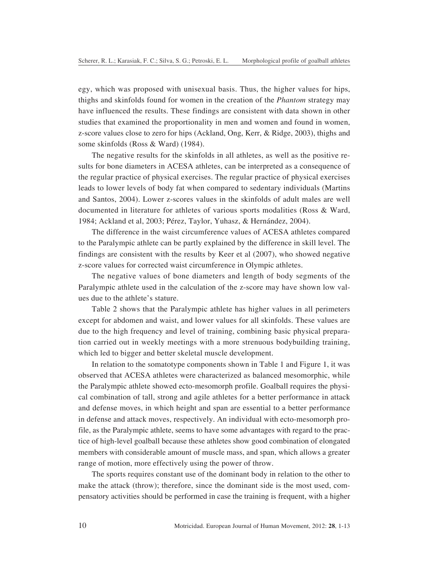egy, which was proposed with unisexual basis. Thus, the higher values for hips, thighs and skinfolds found for women in the creation of the *Phantom* strategy may have influenced the results. These findings are consistent with data shown in other studies that examined the proportionality in men and women and found in women, z-score values close to zero for hips (Ackland, Ong, Kerr, & Ridge, 2003), thighs and some skinfolds (Ross & Ward) (1984).

The negative results for the skinfolds in all athletes, as well as the positive results for bone diameters in ACESA athletes, can be interpreted as a consequence of the regular practice of physical exercises. The regular practice of physical exercises leads to lower levels of body fat when compared to sedentary individuals (Martins and Santos, 2004). Lower z-scores values in the skinfolds of adult males are well documented in literature for athletes of various sports modalities (Ross & Ward, 1984; Ackland et al, 2003; Pérez, Taylor, Yuhasz, & Hernández, 2004).

The difference in the waist circumference values of ACESA athletes compared to the Paralympic athlete can be partly explained by the difference in skill level. The findings are consistent with the results by Keer et al (2007), who showed negative z-score values for corrected waist circumference in Olympic athletes.

The negative values of bone diameters and length of body segments of the Paralympic athlete used in the calculation of the z-score may have shown low values due to the athlete's stature.

Table 2 shows that the Paralympic athlete has higher values in all perimeters except for abdomen and waist, and lower values for all skinfolds. These values are due to the high frequency and level of training, combining basic physical preparation carried out in weekly meetings with a more strenuous bodybuilding training, which led to bigger and better skeletal muscle development.

In relation to the somatotype components shown in Table 1 and Figure 1, it was observed that ACESA athletes were characterized as balanced mesomorphic, while the Paralympic athlete showed ecto-mesomorph profile. Goalball requires the physical combination of tall, strong and agile athletes for a better performance in attack and defense moves, in which height and span are essential to a better performance in defense and attack moves, respectively. An individual with ecto-mesomorph profile, as the Paralympic athlete, seems to have some advantages with regard to the practice of high-level goalball because these athletes show good combination of elongated members with considerable amount of muscle mass, and span, which allows a greater range of motion, more effectively using the power of throw.

The sports requires constant use of the dominant body in relation to the other to make the attack (throw); therefore, since the dominant side is the most used, compensatory activities should be performed in case the training is frequent, with a higher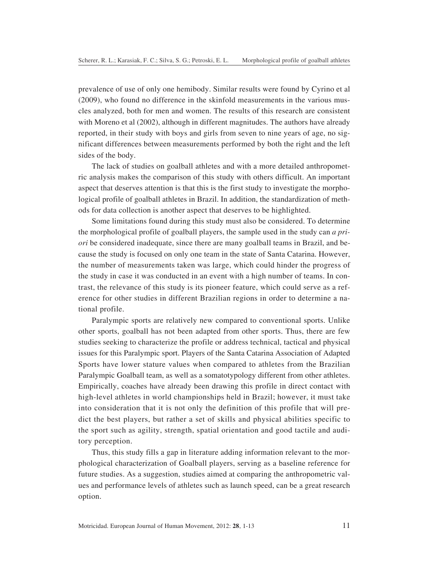prevalence of use of only one hemibody. Similar results were found by Cyrino et al (2009), who found no difference in the skinfold measurements in the various muscles analyzed, both for men and women. The results of this research are consistent with Moreno et al (2002), although in different magnitudes. The authors have already reported, in their study with boys and girls from seven to nine years of age, no significant differences between measurements performed by both the right and the left sides of the body.

The lack of studies on goalball athletes and with a more detailed anthropometric analysis makes the comparison of this study with others difficult. An important aspect that deserves attention is that this is the first study to investigate the morphological profile of goalball athletes in Brazil. In addition, the standardization of methods for data collection is another aspect that deserves to be highlighted.

Some limitations found during this study must also be considered. To determine the morphological profile of goalball players, the sample used in the study can *a priori* be considered inadequate, since there are many goalball teams in Brazil, and because the study is focused on only one team in the state of Santa Catarina. However, the number of measurements taken was large, which could hinder the progress of the study in case it was conducted in an event with a high number of teams. In contrast, the relevance of this study is its pioneer feature, which could serve as a reference for other studies in different Brazilian regions in order to determine a national profile.

Paralympic sports are relatively new compared to conventional sports. Unlike other sports, goalball has not been adapted from other sports. Thus, there are few studies seeking to characterize the profile or address technical, tactical and physical issues for this Paralympic sport. Players of the Santa Catarina Association of Adapted Sports have lower stature values when compared to athletes from the Brazilian Paralympic Goalball team, as well as a somatotypology different from other athletes. Empirically, coaches have already been drawing this profile in direct contact with high-level athletes in world championships held in Brazil; however, it must take into consideration that it is not only the definition of this profile that will predict the best players, but rather a set of skills and physical abilities specific to the sport such as agility, strength, spatial orientation and good tactile and auditory perception.

Thus, this study fills a gap in literature adding information relevant to the morphological characterization of Goalball players, serving as a baseline reference for future studies. As a suggestion, studies aimed at comparing the anthropometric values and performance levels of athletes such as launch speed, can be a great research option.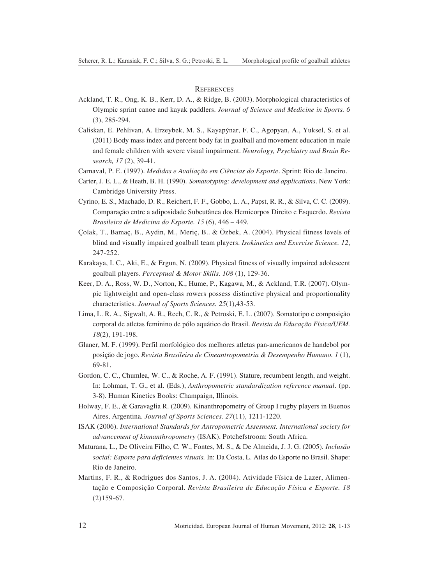## **REFERENCES**

- Ackland, T. R., Ong, K. B., Kerr, D. A., & Ridge, B. (2003). Morphological characteristics of Olympic sprint canoe and kayak paddlers. *Journal of Science and Medicine in Sports. 6* (3), 285-294.
- Caliskan, E. Pehlivan, A. Erzeybek, M. S., Kayapýnar, F. C., Agopyan, A., Yuksel, S. et al. (2011) Body mass index and percent body fat in goalball and movement education in male and female children with severe visual impairment. *Neurology, Psychiatry and Brain Research, 17* (2), 39-41.
- Carnaval, P. E. (1997). *Medidas e Avaliação em Ciências do Esporte*. Sprint: Rio de Janeiro.
- Carter, J. E. L., & Heath, B. H. (1990). *Somatotyping: development and applications*. New York: Cambridge University Press.
- Cyrino, E. S., Machado, D. R., Reichert, F. F., Gobbo, L. A., Papst, R. R., & Silva, C. C. (2009). Comparação entre a adiposidade Subcutânea dos Hemicorpos Direito e Esquerdo. *Revista Brasileira de Medicina do Esporte. 15* (6), 446 – 449.
- Çolak, T., Bamaç, B., Aydin, M., Meriç, B.. & Özbek, A. (2004). Physical fitness levels of blind and visually impaired goalball team players. *Isokinetics and Exercise Science. 12*, 247-252.
- Karakaya, I. C., Aki, E., & Ergun, N. (2009). Physical fitness of visually impaired adolescent goalball players. *Perceptual & Motor Skills. 108* (1), 129-36.
- Keer, D. A., Ross, W. D., Norton, K., Hume, P., Kagawa, M., & Ackland, T.R. (2007). Olympic lightweight and open-class rowers possess distinctive physical and proportionality characteristics. *Journal of Sports Sciences. 25*(1),43-53.
- Lima, L. R. A., Sigwalt, A. R., Rech, C. R., & Petroski, E. L. (2007). Somatotipo e composição corporal de atletas feminino de pólo aquático do Brasil. *Revista da Educação Física/UEM. 18*(2), 191-198.
- Glaner, M. F. (1999). Perfil morfológico dos melhores atletas pan-americanos de handebol por posição de jogo. *Revista Brasileira de Cineantropometria & Desempenho Humano. 1* (1), 69-81.
- Gordon, C. C., Chumlea, W. C., & Roche, A. F. (1991). Stature, recumbent length, and weight. In: Lohman, T. G., et al. (Eds.), *Anthropometric standardization reference manual*. (pp. 3-8). Human Kinetics Books: Champaign, Illinois.
- Holway, F. E., & Garavaglia R. (2009). Kinanthropometry of Group I rugby players in Buenos Aires, Argentina. *Journal of Sports Sciences. 27*(11), 1211-1220.
- ISAK (2006). *International Standards for Antropometric Assesment. International society for advancement of kinnanthropometry* (ISAK). Potchefstroom: South Africa.
- Maturana, L., De Oliveira Filho, C. W., Fontes, M. S., & De Almeida, J. J. G. (2005). *Inclusão social: Esporte para deficientes visuais.* In: Da Costa, L. Atlas do Esporte no Brasil. Shape: Rio de Janeiro.
- Martins, F. R., & Rodrigues dos Santos, J. A. (2004). Atividade Física de Lazer, Alimentação e Composição Corporal. *Revista Brasileira de Educação Física e Esporte. 18* (2)159-67.